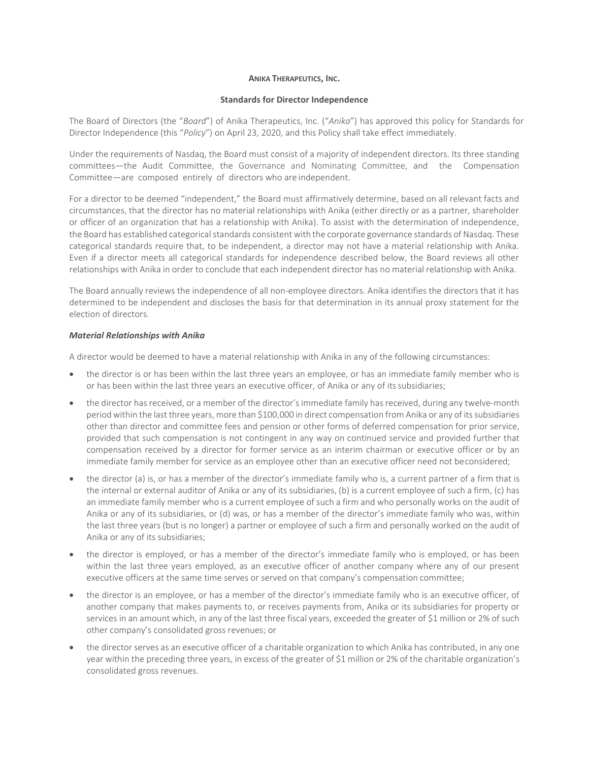#### **ANIKA THERAPEUTICS, INC.**

#### **Standards for Director Independence**

The Board of Directors (the "*Board*") of Anika Therapeutics, Inc. ("*Anika*") has approved this policy for Standards for Director Independence (this "*Policy*") on April 23, 2020, and this Policy shall take effect immediately.

Under the requirements of Nasdaq, the Board must consist of a majority of independent directors. Its three standing committees—the Audit Committee, the Governance and Nominating Committee, and the Compensation Committee—are composed entirely of directors who are independent.

For a director to be deemed "independent," the Board must affirmatively determine, based on all relevant facts and circumstances, that the director has no material relationships with Anika (either directly or as a partner, shareholder or officer of an organization that has a relationship with Anika). To assist with the determination of independence, the Board has established categorical standards consistent with the corporate governance standards of Nasdaq. These categorical standards require that, to be independent, a director may not have a material relationship with Anika. Even if a director meets all categorical standards for independence described below, the Board reviews all other relationships with Anika in order to conclude that each independent director has no material relationship with Anika.

The Board annually reviews the independence of all non-employee directors. Anika identifies the directors that it has determined to be independent and discloses the basis for that determination in its annual proxy statement for the election of directors.

## *Material Relationships with Anika*

A director would be deemed to have a material relationship with Anika in any of the following circumstances:

- the director is or has been within the last three years an employee, or has an immediate family member who is or has been within the last three years an executive officer, of Anika or any of itssubsidiaries;
- the director has received, or a member of the director's immediate family has received, during any twelve-month period within the last three years, more than \$100,000 in direct compensation from Anika or any of its subsidiaries other than director and committee fees and pension or other forms of deferred compensation for prior service, provided that such compensation is not contingent in any way on continued service and provided further that compensation received by a director for former service as an interim chairman or executive officer or by an immediate family member for service as an employee other than an executive officer need not beconsidered;
- the director (a) is, or has a member of the director's immediate family who is, a current partner of a firm that is the internal or external auditor of Anika or any of its subsidiaries, (b) is a current employee of such a firm, (c) has an immediate family member who is a current employee of such a firm and who personally works on the audit of Anika or any of its subsidiaries, or (d) was, or has a member of the director's immediate family who was, within the last three years (but is no longer) a partner or employee of such a firm and personally worked on the audit of Anika or any of its subsidiaries;
- the director is employed, or has a member of the director's immediate family who is employed, or has been within the last three years employed, as an executive officer of another company where any of our present executive officers at the same time serves or served on that company's compensation committee;
- the director is an employee, or has a member of the director's immediate family who is an executive officer, of another company that makes payments to, or receives payments from, Anika or its subsidiaries for property or services in an amount which, in any of the last three fiscal years, exceeded the greater of \$1 million or 2% of such other company's consolidated gross revenues; or
- the director serves as an executive officer of a charitable organization to which Anika has contributed, in any one year within the preceding three years, in excess of the greater of \$1 million or 2% of the charitable organization's consolidated gross revenues.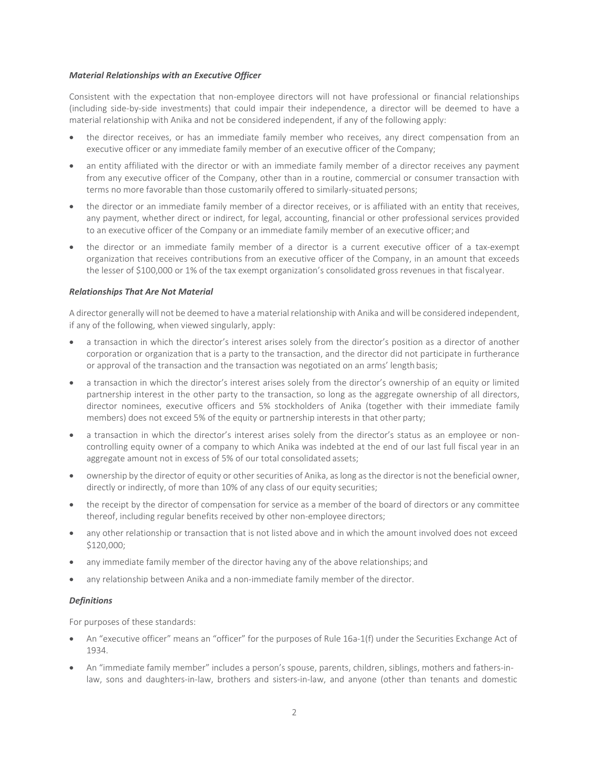## *Material Relationships with an Executive Officer*

Consistent with the expectation that non-employee directors will not have professional or financial relationships (including side-by-side investments) that could impair their independence, a director will be deemed to have a material relationship with Anika and not be considered independent, if any of the following apply:

- the director receives, or has an immediate family member who receives, any direct compensation from an executive officer or any immediate family member of an executive officer of the Company;
- an entity affiliated with the director or with an immediate family member of a director receives any payment from any executive officer of the Company, other than in a routine, commercial or consumer transaction with terms no more favorable than those customarily offered to similarly-situated persons;
- the director or an immediate family member of a director receives, or is affiliated with an entity that receives, any payment, whether direct or indirect, for legal, accounting, financial or other professional services provided to an executive officer of the Company or an immediate family member of an executive officer; and
- the director or an immediate family member of a director is a current executive officer of a tax-exempt organization that receives contributions from an executive officer of the Company, in an amount that exceeds the lesser of \$100,000 or 1% of the tax exempt organization's consolidated gross revenues in that fiscalyear.

## *Relationships That Are Not Material*

A director generally will not be deemed to have a material relationship with Anika and will be considered independent, if any of the following, when viewed singularly, apply:

- a transaction in which the director's interest arises solely from the director's position as a director of another corporation or organization that is a party to the transaction, and the director did not participate in furtherance or approval of the transaction and the transaction was negotiated on an arms' length basis;
- a transaction in which the director's interest arises solely from the director's ownership of an equity or limited partnership interest in the other party to the transaction, so long as the aggregate ownership of all directors, director nominees, executive officers and 5% stockholders of Anika (together with their immediate family members) does not exceed 5% of the equity or partnership interests in that other party;
- a transaction in which the director's interest arises solely from the director's status as an employee or noncontrolling equity owner of a company to which Anika was indebted at the end of our last full fiscal year in an aggregate amount not in excess of 5% of our total consolidated assets;
- ownership by the director of equity or other securities of Anika, aslong asthe director is not the beneficial owner, directly or indirectly, of more than 10% of any class of our equity securities;
- the receipt by the director of compensation for service as a member of the board of directors or any committee thereof, including regular benefits received by other non-employee directors;
- any other relationship or transaction that is not listed above and in which the amount involved does not exceed \$120,000;
- any immediate family member of the director having any of the above relationships; and
- any relationship between Anika and a non-immediate family member of the director.

# *Definitions*

For purposes of these standards:

- An "executive officer" means an "officer" for the purposes of Rule 16a-1(f) under the Securities Exchange Act of 1934.
- An "immediate family member" includes a person's spouse, parents, children, siblings, mothers and fathers-inlaw, sons and daughters-in-law, brothers and sisters-in-law, and anyone (other than tenants and domestic